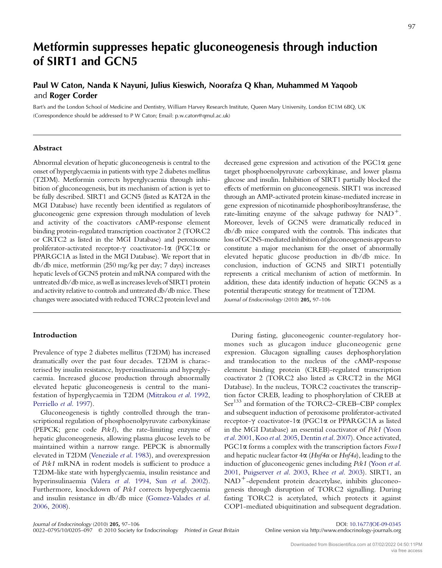# Metformin suppresses hepatic gluconeogenesis through induction of SIRT1 and GCN5

# Paul W Caton, Nanda K Nayuni, Julius Kieswich, Noorafza Q Khan, Muhammed M Yaqoob and Roger Corder

Bart's and the London School of Medicine and Dentistry, William Harvey Research Institute, Queen Mary University, London EC1M 6BQ, UK (Correspondence should be addressed to P W Caton; Email: p.w.caton@qmul.ac.uk)

# Abstract

Abnormal elevation of hepatic gluconeogenesis is central to the onset of hyperglycaemia in patients with type 2 diabetes mellitus (T2DM). Metformin corrects hyperglycaemia through inhibition of gluconeogenesis, but its mechanism of action is yet to be fully described. SIRT1 and GCN5 (listed as KAT2A in the MGI Database) have recently been identified as regulators of gluconeogenic gene expression through modulation of levels and activity of the coactivators cAMP-response element binding protein-regulated transcription coactivator 2 (TORC2 or CRTC2 as listed in the MGI Database) and peroxisome proliferator-activated receptor-g coactivator-1a (PGC1a or PPARGC1A as listed in the MGI Database). We report that in db/db mice, metformin (250 mg/kg per day; 7 days) increases hepatic levels of GCN5 protein and mRNA compared with the untreated db/db mice, aswell as increases levelsof SIRT1 protein and activity relative to controls and untreated db/db mice. These changes were associated with reduced TORC2 protein level and

# Introduction

Prevalence of type 2 diabetes mellitus (T2DM) has increased dramatically over the past four decades. T2DM is characterised by insulin resistance, hyperinsulinaemia and hyperglycaemia. Increased glucose production through abnormally elevated hepatic gluconeogenesis is central to the manifestation of hyperglycaemia in T2DM ([Mitrakou](#page-8-0) et al. 1992, [Perriello](#page-8-0) et al. 1997).

Gluconeogenesis is tightly controlled through the transcriptional regulation of phosphoenolpyruvate carboxykinase (PEPCK; gene code  $Pck1$ ), the rate-limiting enzyme of hepatic gluconeogenesis, allowing plasma glucose levels to be maintained within a narrow range. PEPCK is abnormally elevated in T2DM ([Veneziale](#page-8-0) et al. 1983), and overexpression of Pck1 mRNA in rodent models is sufficient to produce a T2DM-like state with hyperglycaemia, insulin resistance and hyperinsulinaemia (Valera et al[. 1994,](#page-8-0) Sun et al[. 2002](#page-8-0)). Furthermore, knockdown of Pck1 corrects hyperglycaemia and insulin resistance in db/db mice [\(Gomez-Valades](#page-8-0) et al. [2006](#page-8-0), [2008\)](#page-8-0).

decreased gene expression and activation of the PGC1 $\alpha$  gene target phosphoenolpyruvate carboxykinase, and lower plasma glucose and insulin. Inhibition of SIRT1 partially blocked the effects of metformin on gluconeogenesis. SIRT1 was increased through an AMP-activated protein kinase-mediated increase in gene expression of nicotinamide phosphoribosyltransferase, the rate-limiting enzyme of the salvage pathway for  $NAD^+$ . Moreover, levels of GCN5 were dramatically reduced in db/db mice compared with the controls. This indicates that loss of GCN5-mediated inhibition of gluconeogenesis appears to constitute a major mechanism for the onset of abnormally elevated hepatic glucose production in db/db mice. In conclusion, induction of GCN5 and SIRT1 potentially represents a critical mechanism of action of metformin. In addition, these data identify induction of hepatic GCN5 as a potential therapeutic strategy for treatment of T2DM. Journal of Endocrinology (2010) 205, 97–106

During fasting, gluconeogenic counter-regulatory hormones such as glucagon induce gluconeogenic gene expression. Glucagon signalling causes dephosphorylation and translocation to the nucleus of the cAMP-response element binding protein (CREB)-regulated transcription coactivator 2 (TORC2 also listed as CRCT2 in the MGI Database). In the nucleus, TORC2 coactivates the transcription factor CREB, leading to phosphorylation of CREB at Ser<sup>133</sup> and formation of the TORC2–CREB–CBP complex and subsequent induction of peroxisome proliferator-activated receptor-g coactivator-1a (PGC1a or PPARGC1A as listed in the MGI Database) an essential coactivator of Pck1 ([Yoon](#page-9-0) et al[. 2001,](#page-9-0) Koo et al[. 2005,](#page-8-0) [Dentin](#page-7-0) et al. 2007). Once activated, PGC1 $\alpha$  forms a complex with the transcription factors Foxo1 and hepatic nuclear factor  $4\alpha$  (Hnf4 $\alpha$  or Hnf4a), leading to the induction of gluconeogenic genes including Pck1 ([Yoon](#page-9-0) et al. [2001](#page-9-0), [Puigserver](#page-8-0) et al. 2003, Rhee et al[. 2003](#page-8-0)). SIRT1, an  $NAD^+$ -dependent protein deacetylase, inhibits gluconeogenesis through disruption of TORC2 signalling. During fasting TORC2 is acetylated, which protects it against COP1-mediated ubiquitination and subsequent degradation.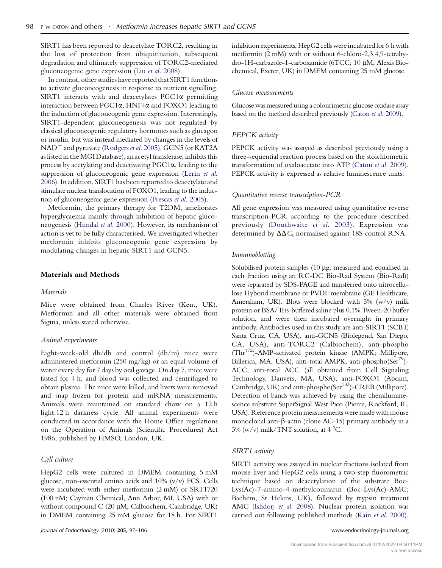SIRT1 has been reported to deacetylate TORC2, resulting in the loss of protection from ubiquitination, subsequent degradation and ultimately suppression of TORC2-mediated gluconeogenic gene expression (Liu et al[. 2008](#page-8-0)).

In contrast, other studies have reported that SIRT1 functions to activate gluconeogenesis in response to nutrient signalling. SIRT1 interacts with and deacetylates  $PGC1\alpha$  permitting interaction between PGC1a, HNF4a and FOXO1 leading to the induction of gluconeogenic gene expression. Interestingly, SIRT1-dependent gluconeogenesis was not regulated by classical gluconeogenic regulatory hormones such as glucagon or insulin, but was instead mediated by changes in the levels of  $NAD^+$  and pyruvate ([Rodgers](#page-8-0) et al. 2005). GCN5 (or KAT2A as listed in the MGI Database), an acetyl transferase, inhibits this process by acetylating and deactivating  $PGC1\alpha$ , leading to the suppression of gluconeogenic gene expression [\(Lerin](#page-8-0) et al. [2006\)](#page-8-0). In addition, SIRT1 has been reported to deacetylate and stimulate nuclear translocation of FOXO1, leading to the induction of gluconeogenic gene expression [\(Frescas](#page-8-0) et al. 2005).

Metformin, the primary therapy for T2DM, ameliorates hyperglycaemia mainly through inhibition of hepatic gluconeogenesis ([Hundal](#page-8-0) et al. 2000). However, its mechanism of action is yet to be fully characterised. We investigated whether metformin inhibits gluconeogenic gene expression by modulating changes in hepatic SIRT1 and GCN5.

# Materials and Methods

#### Materials

Mice were obtained from Charles River (Kent, UK). Metformin and all other materials were obtained from Sigma, unless stated otherwise.

#### Animal experiments

Eight-week-old db/db and control (db/m) mice were administered metformin (250 mg/kg) or an equal volume of water every day for 7 days by oral gavage. On day 7, mice were fasted for 4 h, and blood was collected and centrifuged to obtain plasma. The mice were killed, and livers were removed and snap frozen for protein and mRNA measurements. Animals were maintained on standard chow on a 12 h light:12 h darkness cycle. All animal experiments were conducted in accordance with the Home Office regulations on the Operation of Animals (Scientific Procedures) Act 1986, published by HMSO, London, UK.

### Cell culture

HepG2 cells were cultured in DMEM containing 5 mM glucose, non-essential amino acids and 10% (v/v) FCS. Cells were incubated with either metformin (2 mM) or SRT1720 (100 nM; Cayman Chemical, Ann Arbor, MI, USA) with or without compound C (20 µM; Calbiochem, Cambridge, UK) in DMEM containing 25 mM glucose for 18 h. For SIRT1

inhibition experiments, HepG2 cells were incubated for 6 h with metformin (2 mM) with or without 6-chloro-2,3,4,9-tetrahydro-1H-carbazole-1-carboxamide (6TCC; 10 µM; Alexis Biochemical, Exeter, UK) in DMEM containing 25 mM glucose.

#### Glucose measurements

Glucose was measured using a colourimetric glucose oxidase assay based on the method described previously [\(Caton](#page-7-0) et al. 2009).

## PEPCK activity

PEPCK activity was assayed as described previously using a three-sequential reaction process based on the stoichiometric transformation of oxaloacetate into ATP (Caton et al[. 2009](#page-7-0)). PEPCK activity is expressed as relative luminescence units.

#### Quantitative reverse transcription-PCR

All gene expression was measured using quantitative reverse transcription-PCR according to the procedure described previously ([Douthwaite](#page-7-0) et al. 2003). Expression was determined by  $\Delta\Delta C_t$  normalised against 18S control RNA.

#### Immunoblotting

Solubilised protein samples (10 µg; measured and equalised in each fraction using an RC-DC Bio-Rad System (Bio-Rad)) were separated by SDS-PAGE and transferred onto nitrocellulose Hybond membrane or PVDF membrane (GE Healthcare, Amersham, UK). Blots were blocked with 5% (w/v) milk protein or BSA/Tris-buffered saline plus 0.1% Tween-20 buffer solution, and were then incubated overnight in primary antibody. Antibodies used in this study are anti-SIRT1 (SCBT, Santa Cruz, CA, USA), anti-GCN5 (Biolegend, San Diego, CA, USA), anti-TORC2 (Calbiochem), anti-phospho (Thr<sup>172</sup>)-AMP-activated protein kinase (AMPK; Millipore, Billerica, MA, USA), anti-total AMPK, anti-phospho(Ser<sup>79</sup>)-ACC, anti-total ACC (all obtained from Cell Signaling Technology, Danvers, MA, USA), anti-FOXO1 (Abcam, Cambridge, UK) and anti-phospho(Ser<sup>133</sup>)-CREB (Millipore). Detection of bands was achieved by using the chemiluminescence substrate SuperSignal West Pico (Pierce, Rockford, IL, USA). Reference protein measurements were made with mouse monoclonal anti- $\beta$ -actin (clone AC-15) primary antibody in a 3% (w/v) milk/TNT solution, at 4 *8*C.

### SIRT1 activity

SIRT1 activity was assayed in nuclear fractions isolated from mouse liver and HepG2 cells using a two-step fluorometric technique based on deacetylation of the substrate Boc-Lys(Ac)-7-amino-4-methylcoumarin (Boc-Lys(Ac)-AMC; Bachem, St Helens, UK), followed by trypsin treatment AMC ([Ishdorj](#page-8-0) et al. 2008). Nuclear protein isolation was carried out following published methods (Kain et al[. 2000](#page-8-0)).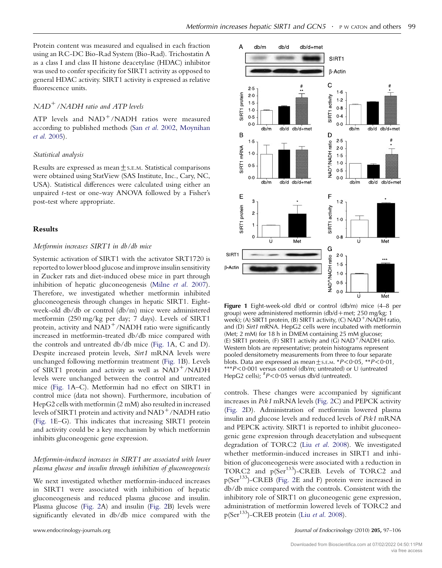<span id="page-2-0"></span>Protein content was measured and equalised in each fraction using an RC-DC Bio-Rad System (Bio-Rad). Trichostatin A as a class I and class II histone deacetylase (HDAC) inhibitor was used to confer specificity for SIRT1 activity as opposed to general HDAC activity. SIRT1 activity is expressed as relative fluorescence units.

# $NAD^+$  /NADH ratio and ATP levels

ATP levels and  $NAD^+/NADH$  ratios were measured according to published methods (San et al[. 2002](#page-8-0), [Moynihan](#page-8-0) et al[. 2005\)](#page-8-0).

#### Statistical analysis

Results are expressed as mean  $\pm$  s.e.m. Statistical comparisons were obtained using StatView (SAS Institute, Inc., Cary, NC, USA). Statistical differences were calculated using either an unpaired t-test or one-way ANOVA followed by a Fisher's post-test where appropriate.

#### Results

#### Metformin increases SIRT1 in db/db mice

Systemic activation of SIRT1 with the activator SRT1720 is reported to lower blood glucose and improve insulin sensitivity in Zucker rats and diet-induced obese mice in part through inhibition of hepatic gluconeogenesis (Milne et al[. 2007](#page-8-0)). Therefore, we investigated whether metformin inhibited gluconeogenesis through changes in hepatic SIRT1. Eightweek-old db/db or control (db/m) mice were administered metformin (250 mg/kg per day; 7 days). Levels of SIRT1 protein, activity and  $NAD^+/NADH$  ratio were significantly increased in metformin-treated db/db mice compared with the controls and untreated db/db mice (Fig. 1A, C and D). Despite increased protein levels, Sirt1 mRNA levels were unchanged following metformin treatment (Fig. 1B). Levels of SIRT1 protein and activity as well as  $NAD^+/NADH$ levels were unchanged between the control and untreated mice (Fig. 1A–C). Metformin had no effect on SIRT1 in control mice (data not shown). Furthermore, incubation of HepG2 cells with metformin (2 mM) also resulted in increased levels of SIRT1 protein and activity and  $NAD^+/NADH$  ratio (Fig. 1E–G). This indicates that increasing SIRT1 protein and activity could be a key mechanism by which metformin inhibits gluconeogenic gene expression.

# Metformin-induced increases in SIRT1 are associated with lower plasma glucose and insulin through inhibition of gluconeogenesis

We next investigated whether metformin-induced increases in SIRT1 were associated with inhibition of hepatic gluconeogenesis and reduced plasma glucose and insulin. Plasma glucose [\(Fig. 2](#page-3-0)A) and insulin ([Fig. 2B](#page-3-0)) levels were significantly elevated in db/db mice compared with the



Figure 1 Eight-week-old db/d or control (db/m) mice (4–8 per group) were administered metformin (db/d+met; 250 mg/kg; 1 week); (A) SIRT1 protein, (B) SIRT1 activity, (C)  $NAD^+/NADH$  ratio, and (D) Sirt1 mRNA. HepG2 cells were incubated with metformin (Met; 2 mM) for 18 h in DMEM containing 25 mM glucose; (E) SIRT1 protein, (F) SIRT1 activity and  $(G)$  NAD<sup>+</sup>/NADH ratio. Western blots are representative; protein histograms represent pooled densitometry measurements from three to four separate blots. Data are expressed as mean  $\pm$  s.e.m. \*P<0.05, \*\*P<0.01, \*\*\* $P$ <0.001 versus control (db/m; untreated) or U (untreated HepG2 cells);  $P<sub>0.05</sub>$  versus db/d (untreated).

controls. These changes were accompanied by significant increases in Pck1 mRNA levels [\(Fig. 2](#page-3-0)C) and PEPCK activity [\(Fig. 2](#page-3-0)D). Administration of metformin lowered plasma insulin and glucose levels and reduced levels of Pck1 mRNA and PEPCK activity. SIRT1 is reported to inhibit gluconeogenic gene expression through deacetylation and subsequent degradation of TORC2 (Liu et al[. 2008](#page-8-0)). We investigated whether metformin-induced increases in SIRT1 and inhibition of gluconeogenesis were associated with a reduction in TORC2 and p(Ser<sup>133</sup>)-CREB. Levels of TORC2 and p(Ser<sup>133</sup>)-CREB ([Fig. 2](#page-3-0)E and F) protein were increased in db/db mice compared with the controls. Consistent with the inhibitory role of SIRT1 on gluconeogenic gene expression, administration of metformin lowered levels of TORC2 and p(Ser<sup>133</sup>)-CREB protein (Liu et al[. 2008\)](#page-8-0).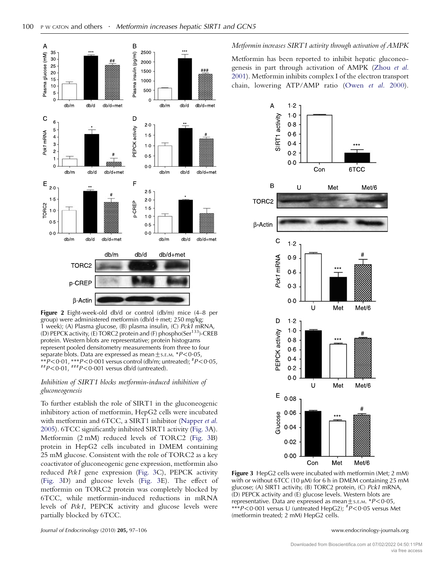<span id="page-3-0"></span>

Figure 2 Eight-week-old db/d or control (db/m) mice (4–8 per group) were administered metformin (db/d+met; 250 mg/kg; 1 week); (A) Plasma glucose, (B) plasma insulin, (C) Pck1 mRNA, (D) PEPCK activity, (E) TORC2 protein and (F) phospho(Ser<sup>133</sup>)-CREB protein. Western blots are representative; protein histograms represent pooled densitometry measurements from three to four separate blots. Data are expressed as mean  $\pm$  s.E.M. \*P<0.05, \*\*P<0.01, \*\*\*P<0.001 versus control (db/m; untreated);  $P$  = 0.05,  $E^{\#}P<0.01$ ,  $E^{\#}P<0.001$  versus db/d (untreated).

# Inhibition of SIRT1 blocks metformin-induced inhibition of gluconeogenesis

To further establish the role of SIRT1 in the gluconeogenic inhibitory action of metformin, HepG2 cells were incubated with metformin and 6TCC, a SIRT1 inhibitor [\(Napper](#page-8-0) et al. [2005\)](#page-8-0). 6TCC significantly inhibited SIRT1 activity (Fig. 3A). Metformin (2 mM) reduced levels of TORC2 (Fig. 3B) protein in HepG2 cells incubated in DMEM containing 25 mM glucose. Consistent with the role of TORC2 as a key coactivator of gluconeogenic gene expression, metformin also reduced Pck1 gene expression (Fig. 3C), PEPCK activity (Fig. 3D) and glucose levels (Fig. 3E). The effect of metformin on TORC2 protein was completely blocked by 6TCC, while metformin-induced reductions in mRNA levels of Pck1, PEPCK activity and glucose levels were partially blocked by 6TCC.

Journal of Endocrinology (2010) 205, 97–106 www.endocrinology-journals.org

# Metformin increases SIRT1 activity through activation of AMPK

Metformin has been reported to inhibit hepatic gluconeogenesis in part through activation of AMPK ([Zhou](#page-9-0) et al. [2001\)](#page-9-0). Metformin inhibits complex I of the electron transport chain, lowering ATP/AMP ratio (Owen et al[. 2000\)](#page-8-0).



Figure 3 HepG2 cells were incubated with metformin (Met; 2 mM) with or without 6TCC (10  $\mu$ M) for 6 h in DMEM containing 25 mM glucose; (A) SIRT1 activity, (B) TORC2 protein, (C) Pck1 mRNA, (D) PEPCK activity and (E) glucose levels. Western blots are representative. Data are expressed as mean $\pm$ s.E.M. \* $P < 0.05$ , \*\*\*P<0.001 versus U (untreated HepG2);  $^{#}P$ <0.05 versus Met (metformin treated; 2 mM) HepG2 cells.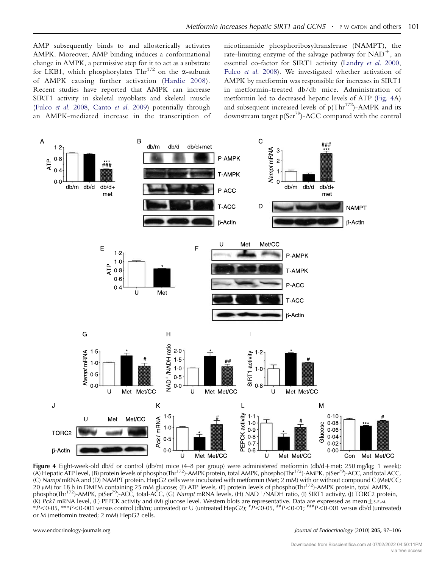<span id="page-4-0"></span>AMP subsequently binds to and allosterically activates AMPK. Moreover, AMP binding induces a conformational change in AMPK, a permissive step for it to act as a substrate for LKB1, which phosphorylates Thr<sup>172</sup> on the  $\alpha$ -subunit of AMPK causing further activation ([Hardie 2008](#page-8-0)). Recent studies have reported that AMPK can increase SIRT1 activity in skeletal myoblasts and skeletal muscle (Fulco et al[. 2008,](#page-8-0) Canto et al[. 2009\)](#page-7-0) potentially through an AMPK-mediated increase in the transcription of nicotinamide phosphoribosyltransferase (NAMPT), the rate-limiting enzyme of the salvage pathway for  $NAD^+$ , an essential co-factor for SIRT1 activity [\(Landry](#page-8-0) et al. 2000, Fulco et al[. 2008\)](#page-8-0). We investigated whether activation of AMPK by metformin was responsible for increases in SIRT1 in metformin-treated db/db mice. Administration of metformin led to decreased hepatic levels of ATP (Fig. 4A) and subsequent increased levels of  $p(Thr^{172})$ -AMPK and its downstream target  $p(Ser<sup>79</sup>)$ -ACC compared with the control



**Figure 4** Eight-week-old db/d or control (db/m) mice (4–8 per group) were administered metformin (db/d+met; 250 mg/kg; 1 week);<br>(A) Hepatic ATP level, (B) protein levels of phospho(Thr<sup>172</sup>)-AMPK protein, total AMPK, phos (C) Nampt mRNA and (D) NAMPT protein. HepG2 cells were incubated with metformin (Met; 2 mM) with or without compound C (Met/CC; 20 µM) for 18 h in DMEM containing 25 mM glucose; (E) ATP levels, (F) protein levels of phospho(Thr<sup>172</sup>)-AMPK protein, total AMPK, phospho(Thr<sup>172</sup>)-AMPK, p(Ser<sup>79</sup>)-ACC, total-ACC, (G) Nampt mRNA levels, (H) NAD<sup>+</sup>/NADH ratio, (I) SIRT1 activity, (J) TORC2 protein, (K) Pck1 mRNA level, (L) PEPCK activity and (M) glucose level. Western blots are representative. Data are expressed as mean $\pm$ s.E.M.  $*P$ <0.05,  $**P$ <0.001 versus control (db/m; untreated) or U (untreated HepG2);  $*P$ <0.05,  $**P$ <0.01;  $***P$ <0.001 versus db/d (untreated) or M (metformin treated; 2 mM) HepG2 cells.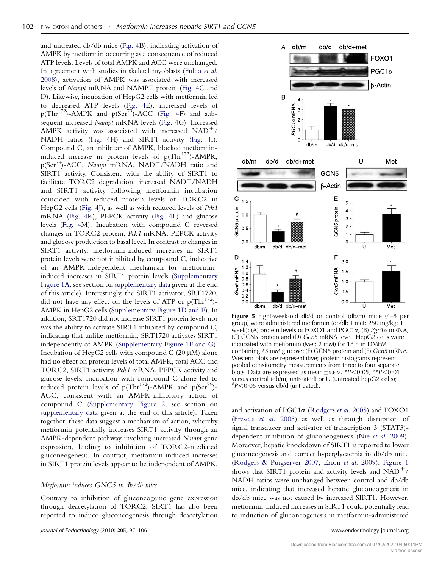<span id="page-5-0"></span>and untreated db/db mice ([Fig. 4B](#page-4-0)), indicating activation of AMPK by metformin occurring as a consequence of reduced ATP levels. Levels of total AMPK and ACC were unchanged. In agreement with studies in skeletal myoblasts [\(Fulco](#page-8-0) et al. [2008\)](#page-8-0), activation of AMPK was associated with increased levels of Nampt mRNA and NAMPT protein [\(Fig. 4C](#page-4-0) and D). Likewise, incubation of HepG2 cells with metformin led to decreased ATP levels ([Fig. 4](#page-4-0)E), increased levels of  $p(Thr^{172})$ -AMPK and  $p(Ser^{79})$ -ACC [\(Fig. 4](#page-4-0)F) and subsequent increased Nampt mRNA levels ([Fig. 4](#page-4-0)G). Increased AMPK activity was associated with increased  $NAD<sup>+</sup>/$ NADH ratios [\(Fig. 4](#page-4-0)H) and SIRT1 activity ([Fig. 4I](#page-4-0)). Compound C, an inhibitor of AMPK, blocked metformininduced increase in protein levels of  $p(Thr^{172})$ -AMPK,  $p(Ser^{9})$ -ACC, Nampt mRNA, NAD<sup>+</sup>/NADH ratio and SIRT1 activity. Consistent with the ability of SIRT1 to facilitate TORC2 degradation, increased  $NAD<sup>+</sup>/NADH$ and SIRT1 activity following metformin incubation coincided with reduced protein levels of TORC2 in HepG2 cells ([Fig. 4J](#page-4-0)), as well as with reduced levels of Pck1 mRNA ([Fig. 4](#page-4-0)K), PEPCK activity ([Fig. 4](#page-4-0)L) and glucose levels ([Fig. 4](#page-4-0)M). Incubation with compound C reversed changes in TORC2 protein, Pck1 mRNA, PEPCK activity and glucose production to basal level. In contrast to changes in SIRT1 activity, metformin-induced increases in SIRT1 protein levels were not inhibited by compound C, indicative of an AMPK-independent mechanism for metformininduced increases in SIRT1 protein levels [\(Supplementary](http://joe.endocrinology-journals.org/cgi/content/full/JOE-09-0345/DC1) [Figure 1A](http://joe.endocrinology-journals.org/cgi/content/full/JOE-09-0345/DC1), see section on [supplementary data](#page-7-0) given at the end of this article). Interestingly, the SIRT1 activator, SRT1720, did not have any effect on the levels of ATP or  $p(Thr^{1/2})$ -AMPK in HepG2 cells ([Supplementary Figure 1D and E\)](http://joe.endocrinology-journals.org/cgi/content/full/JOE-09-0345/DC1). In addition, SRT1720 did not increase SIRT1 protein levels nor was the ability to activate SIRT1 inhibited by compound C, indicating that unlike metformin, SRT1720 activates SIRT1 independently of AMPK ([Supplementary Figure 1F and G\)](http://joe.endocrinology-journals.org/cgi/content/full/JOE-09-0345/DC1). Incubation of HepG2 cells with compound  $C$  (20  $\mu$ M) alone had no effect on protein levels of total AMPK, total ACC and TORC2, SIRT1 activity, Pck1 mRNA, PEPCK activity and glucose levels. Incubation with compound C alone led to reduced protein levels of  $p(Thr^{172})$ -AMPK and  $p(Ser^{79})$ -ACC, consistent with an AMPK-inhibitory action of compound C ([Supplementary Figure 2,](http://joe.endocrinology-journals.org/cgi/content/full/JOE-09-0345/DC1) see section on [supplementary data](#page-7-0) given at the end of this article). Taken together, these data suggest a mechanism of action, whereby metformin potentially increases SIRT1 activity through an AMPK-dependent pathway involving increased Nampt gene expression, leading to inhibition of TORC2-mediated gluconeogenesis. In contrast, metformin-induced increases in SIRT1 protein levels appear to be independent of AMPK.

#### Metformin induces GNC5 in db/db mice

Contrary to inhibition of gluconeogenic gene expression through deacetylation of TORC2, SIRT1 has also been reported to induce gluconeogenesis through deacetylation



Figure 5 Eight-week-old db/d or control (db/m) mice (4–8 per group) were administered metformin (db/db+met; 250 mg/kg; 1 week); (A) protein levels of FOXO1 and PGC1 $\alpha$ , (B) Pgc1 $\alpha$  mRNA, (C) GCN5 protein and (D) Gcn5 mRNA level. HepG2 cells were incubated with metformin (Met; 2 mM) for 18 h in DMEM containing 25 mM glucose; (E) GCN5 protein and (F) Gcn5 mRNA. Western blots are representative; protein histograms represent pooled densitometry measurements from three to four separate blots. Data are expressed as mean  $\pm$  s.e.m.  $*P$  < 0.05,  $*P$  < 0.01 versus control (db/m; untreated) or U (untreated hepG2 cells);  $P^*P < 0.05$  versus db/d (untreated).

and activation of  $PGC1\alpha$  ([Rodgers](#page-8-0) *et al.* 2005) and  $FOXO1$ (Frescas et al[. 2005](#page-8-0)) as well as through disruption of signal transducer and activator of transcription 3 (STAT3) dependent inhibition of gluconeogenesis (Nie et al[. 2009](#page-8-0)). Moreover, hepatic knockdown of SIRT1 is reported to lower gluconeogenesis and correct hyperglycaemia in db/db mice [\(Rodgers & Puigserver 2007,](#page-8-0) Erion et al[. 2009](#page-8-0)). [Figure 1](#page-2-0) shows that SIRT1 protein and activity levels and  $NAD<sup>+</sup>/$ NADH ratios were unchanged between control and db/db mice, indicating that increased hepatic gluconeogenesis in db/db mice was not caused by increased SIRT1. However, metformin-induced increases in SIRT1 could potentially lead to induction of gluconeogenesis in metformin-administered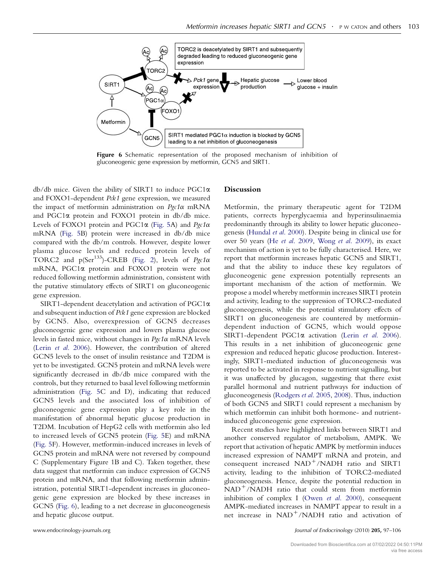

Figure 6 Schematic representation of the proposed mechanism of inhibition of gluconeogenic gene expression by metformin, GCN5 and SIRT1.

db/db mice. Given the ability of SIRT1 to induce  $PGC1\alpha$ and FOXO1-dependent Pck1 gene expression, we measured the impact of metformin administration on  $Pgc1\alpha$  mRNA and PGC1 $\alpha$  protein and FOXO1 protein in db/db mice. Levels of FOXO1 protein and PGC1 $\alpha$  [\(Fig. 5A](#page-5-0)) and Pgc1 $\alpha$ mRNA [\(Fig. 5](#page-5-0)B) protein were increased in db/db mice compared with the db/m controls. However, despite lower plasma glucose levels and reduced protein levels of TORC2 and  $p(\text{Ser}^{133})$ -CREB [\(Fig. 2](#page-3-0)), levels of  $Pgc1\alpha$ mRNA, PGC1a protein and FOXO1 protein were not reduced following metformin administration, consistent with the putative stimulatory effects of SIRT1 on gluconeogenic gene expression.

SIRT1-dependent deacetylation and activation of PGC1 $\alpha$ and subsequent induction of Pck1 gene expression are blocked by GCN5. Also, overexpression of GCN5 decreases gluconeogenic gene expression and lowers plasma glucose levels in fasted mice, without changes in  $Pgc1\alpha$  mRNA levels (Lerin et al[. 2006\)](#page-8-0). However, the contribution of altered GCN5 levels to the onset of insulin resistance and T2DM is yet to be investigated. GCN5 protein and mRNA levels were significantly decreased in db/db mice compared with the controls, but they returned to basal level following metformin administration [\(Fig. 5C](#page-5-0) and D), indicating that reduced GCN5 levels and the associated loss of inhibition of gluconeogenic gene expression play a key role in the manifestation of abnormal hepatic glucose production in T2DM. Incubation of HepG2 cells with metformin also led to increased levels of GCN5 protein ([Fig. 5E](#page-5-0)) and mRNA [\(Fig. 5F](#page-5-0)). However, metformin-induced increases in levels of GCN5 protein and mRNA were not reversed by compound C (Supplementary Figure 1B and C). Taken together, these data suggest that metformin can induce expression of GCN5 protein and mRNA, and that following metformin administration, potential SIRT1-dependent increases in gluconeogenic gene expression are blocked by these increases in GCN5 (Fig. 6), leading to a net decrease in gluconeogenesis and hepatic glucose output.

#### Discussion

Metformin, the primary therapeutic agent for T2DM patients, corrects hyperglycaemia and hyperinsulinaemia predominantly through its ability to lower hepatic gluconeogenesis ([Hundal](#page-8-0) et al. 2000). Despite being in clinical use for over 50 years (He et al[. 2009](#page-8-0), Wong et al[. 2009](#page-8-0)), its exact mechanism of action is yet to be fully characterised. Here, we report that metformin increases hepatic GCN5 and SIRT1, and that the ability to induce these key regulators of gluconeogenic gene expression potentially represents an important mechanism of the action of metformin. We propose a model whereby metformin increases SIRT1 protein and activity, leading to the suppression of TORC2-mediated gluconeogenesis, while the potential stimulatory effects of SIRT1 on gluconeogenesis are countered by metformindependent induction of GCN5, which would oppose SIRT1-dependent PGC1 $\alpha$  activation (Lerin et al[. 2006](#page-8-0)). This results in a net inhibition of gluconeogenic gene expression and reduced hepatic glucose production. Interestingly, SIRT1-mediated induction of gluconeogenesis was reported to be activated in response to nutrient signalling, but it was unaffected by glucagon, suggesting that there exist parallel hormonal and nutrient pathways for induction of gluconeogenesis ([Rodgers](#page-8-0) et al. 2005, [2008](#page-8-0)). Thus, induction of both GCN5 and SIRT1 could represent a mechanism by which metformin can inhibit both hormone- and nutrientinduced gluconeogenic gene expression.

Recent studies have highlighted links between SIRT1 and another conserved regulator of metabolism, AMPK. We report that activation of hepatic AMPK by metformin induces increased expression of NAMPT mRNA and protein, and consequent increased  $NAD^+/NADH$  ratio and SIRT1 activity, leading to the inhibition of TORC2-mediated gluconeogenesis. Hence, despite the potential reduction in  $NAD^+/NADH$  ratio that could stem from metformin inhibition of complex I (Owen et al[. 2000\)](#page-8-0), consequent AMPK-mediated increases in NAMPT appear to result in a net increase in  $NAD^+/NADH$  ratio and activation of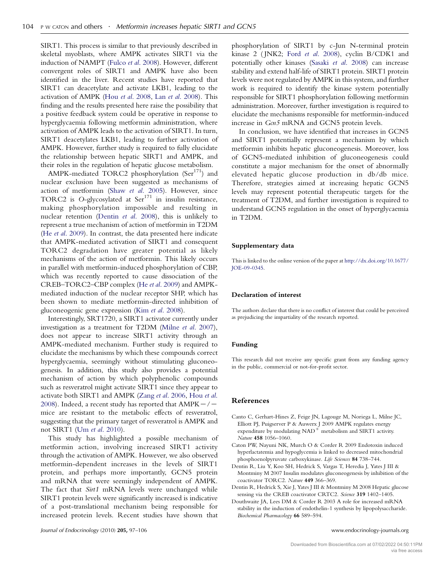<span id="page-7-0"></span>SIRT1. This process is similar to that previously described in skeletal myoblasts, where AMPK activates SIRT1 via the induction of NAMPT (Fulco et al[. 2008\)](#page-8-0). However, different convergent roles of SIRT1 and AMPK have also been identified in the liver. Recent studies have reported that SIRT1 can deacetylate and activate LKB1, leading to the activation of AMPK (Hou et al[. 2008](#page-8-0), Lan et al[. 2008](#page-8-0)). This finding and the results presented here raise the possibility that a positive feedback system could be operative in response to hyperglycaemia following metformin administration, where activation of AMPK leads to the activation of SIRT1. In turn, SIRT1 deacetylates LKB1, leading to further activation of AMPK. However, further study is required to fully elucidate the relationship between hepatic SIRT1 and AMPK, and their roles in the regulation of hepatic glucose metabolism.

AMPK-mediated TORC2 phosphorylation  $(Ser<sup>171</sup>)$  and nuclear exclusion have been suggested as mechanisms of action of metformin (Shaw et al[. 2005\)](#page-8-0). However, since TORC2 is O-glycosylated at  $\text{Ser}^{171}$  in insulin resistance, making phosphorylation impossible and resulting in nuclear retention (Dentin et al. 2008), this is unlikely to represent a true mechanism of action of metformin in T2DM (He et al[. 2009](#page-8-0)). In contrast, the data presented here indicate that AMPK-mediated activation of SIRT1 and consequent TORC2 degradation have greater potential as likely mechanisms of the action of metformin. This likely occurs in parallel with metformin-induced phosphorylation of CBP, which was recently reported to cause dissociation of the CREB–TORC2–CBP complex (He et al[. 2009](#page-8-0)) and AMPKmediated induction of the nuclear receptor SHP, which has been shown to mediate metformin-directed inhibition of gluconeogenic gene expression (Kim et al[. 2008](#page-8-0)).

Interestingly, SRT1720, a SIRT1 activator currently under investigation as a treatment for T2DM (Milne et al[. 2007\)](#page-8-0), does not appear to increase SIRT1 activity through an AMPK-mediated mechanism. Further study is required to elucidate the mechanisms by which these compounds correct hyperglycaemia, seemingly without stimulating gluconeogenesis. In addition, this study also provides a potential mechanism of action by which polyphenolic compounds such as resveratrol might activate SIRT1 since they appear to activate both SIRT1 and AMPK (Zang et al[. 2006,](#page-9-0) [Hou](#page-8-0) et al. [2008\)](#page-8-0). Indeed, a recent study has reported that  $AMPK-/$ mice are resistant to the metabolic effects of resveratrol, suggesting that the primary target of resveratrol is AMPK and not SIRT1 (Um et al[. 2010](#page-8-0)).

This study has highlighted a possible mechanism of metformin action, involving increased SIRT1 activity through the activation of AMPK. However, we also observed metformin-dependent increases in the levels of SIRT1 protein, and perhaps more importantly, GCN5 protein and mRNA that were seemingly independent of AMPK. The fact that Sirt1 mRNA levels were unchanged while SIRT1 protein levels were significantly increased is indicative of a post-translational mechanism being responsible for increased protein levels. Recent studies have shown that

phosphorylation of SIRT1 by c-Jun N-terminal protein kinase 2 (JNK2; Ford et al[. 2008](#page-8-0)), cyclin B/CDK1 and potentially other kinases (Sasaki et al[. 2008\)](#page-8-0) can increase stability and extend half-life of SIRT1 protein. SIRT1 protein levels were not regulated by AMPK in this system, and further work is required to identify the kinase system potentially responsible for SIRT1 phosphorylation following metformin administration. Moreover, further investigation is required to elucidate the mechanisms responsible for metformin-induced increase in Gcn5 mRNA and GCN5 protein levels.

In conclusion, we have identified that increases in GCN5 and SIRT1 potentially represent a mechanism by which metformin inhibits hepatic gluconeogenesis. Moreover, loss of GCN5-mediated inhibition of gluconeogenesis could constitute a major mechanism for the onset of abnormally elevated hepatic glucose production in db/db mice. Therefore, strategies aimed at increasing hepatic GCN5 levels may represent potential therapeutic targets for the treatment of T2DM, and further investigation is required to understand GCN5 regulation in the onset of hyperglycaemia in T2DM.

#### Supplementary data

This is linked to the online version of the paper at [http://dx.doi.org/10.1677/](http://dx.doi.org/10.1677/JOE-09-0345) [JOE-09-0345](http://dx.doi.org/10.1677/JOE-09-0345).

#### Declaration of interest

The authors declare that there is no conflict of interest that could be perceived as prejudicing the impartiality of the research reported.

#### Funding

This research did not receive any specific grant from any funding agency in the public, commercial or not-for-profit sector.

#### References

- Canto C, Gerhart-Hines Z, Feige JN, Lagouge M, Noriega L, Milne JC, Elliott PJ, Puigserver P & Auwerx J 2009 AMPK regulates energy expenditure by modulating  $NAD$ <sup>+</sup> metabolism and SIRT1 activity. Nature 458 1056–1060.
- Caton PW, Nayuni NK, Murch O & Corder R 2009 Endotoxin induced hyperlactatemia and hypoglycemia is linked to decreased mitochondrial phosphoenolpyruvate carboxykinase. Life Sciences 84 738–744.
- Dentin R, Liu Y, Koo SH, Hedrick S, Vargas T, Heredia J, Yates J III & Montminy M 2007 Insulin modulates gluconeogenesis by inhibition of the coactivator TORC2. Nature 449 366–369.
- Dentin R, Hedrick S, Xie J, Yates J III & Montminy M 2008 Hepatic glucose sensing via the CREB coactivator CRTC2. Science 319 1402-1405.
- Douthwaite JA, Lees DM & Corder R 2003 A role for increased mRNA stability in the induction of endothelin-1 synthesis by lipopolysaccharide. Biochemical Pharmacology 66 589-594.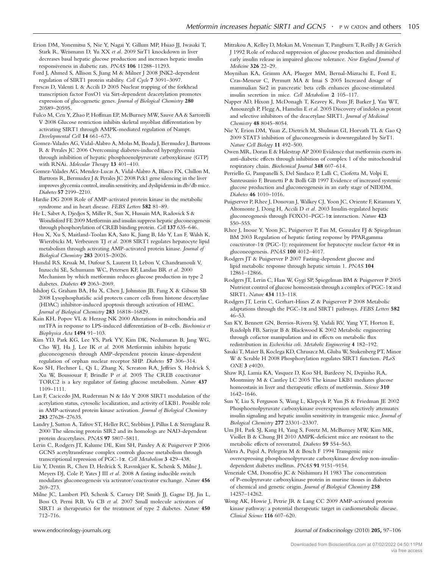- <span id="page-8-0"></span>Erion DM, Yonemitsu S, Nie Y, Nagai Y, Gillum MP, Hsiao JJ, Iwasaki T, Stark R, Weismann D, Yu XX et al. 2009 SirT1 knockdown in liver decreases basal hepatic glucose production and increases hepatic insulin responsiveness in diabetic rats. PNAS 106 11288–11293.
- Ford J, Ahmed S, Allison S, Jiang M & Milner J 2008 JNK2-dependent regulation of SIRT1 protein stability. Cell Cycle 7 3091–3097.
- Frescas D, Valenti L & Accili D 2005 Nuclear trapping of the forkhead transcription factor FoxO1 via Sirt-dependent deacetylation promotes expression of glucogenetic genes. Journal of Biological Chemistry 280 20589–20595.
- Fulco M, Cen Y, Zhao P, Hoffman EP, McBurney MW, Sauve AA & Sartorelli V 2008 Glucose restriction inhibits skeletal myoblast differentiation by activating SIRT1 through AMPK-mediated regulation of Nampt. Developmental Cell 14 661–673.
- Gomez-Valades AG, Vidal-Alabro A, Molas M, Boada J, Bermudez J, Bartrons R & Perales JC 2006 Overcoming diabetes-induced hyperglycemia through inhibition of hepatic phosphoenolpyruvate carboxykinase (GTP) with RNAi. Molecular Therapy 13 401–410.
- Gomez-Valades AG, Mendez-Lucas A, Vidal-Alabro A, Blasco FX, Chillon M, Bartrons R, Bermudez J & Perales JC 2008 Pck1 gene silencing in the liver improves glycemia control, insulin sensitivity, and dyslipidemia in db/db mice. Diabetes 57 2199–2210.
- Hardie DG 2008 Role of AMP-activated protein kinase in the metabolic syndrome and in heart disease. FEBS Letters 582 81–89.
- He L, Sabet A, Djedjos S, Miller R, Sun X, Hussain MA, Radovick S & Wondisford FE 2009 Metformin and insulin suppress hepatic gluconeogenesis through phosphorylation of CREB binding protein. Cell 137 635–646.
- Hou X, Xu S, Maitland-Toolan KA, Sato K, Jiang B, Ido Y, Lan F, Walsh K, Wierzbicki M, Verbeuren TJ et al. 2008 SIRT1 regulates hepatocyte lipid metabolism through activating AMP-activated protein kinase. Journal of Biological Chemistry 283 20015–20026.
- Hundal RS, Krssak M, Dufour S, Laurent D, Lebon V, Chandramouli V, Inzucchi SE, Schumann WC, Petersen KF, Landau BR et al. 2000 Mechanism by which metformin reduces glucose production in type 2 diabetes. Diabetes 49 2063–2069.
- Ishdorj G, Graham BA, Hu X, Chen J, Johnston JB, Fang X & Gibson SB 2008 Lysophosphatidic acid protects cancer cells from histone deacetylase (HDAC) inhibitor-induced apoptosis through activation of HDAC. Journal of Biological Chemistry 283 16818–16829.
- Kain KH, Popov VL & Herzog NK 2000 Alterations in mitochondria and mtTFA in response to LPS-induced differentiation of B-cells. Biochimica et Biophysica Acta 1494 91–103.
- Kim YD, Park KG, Lee YS, Park YY, Kim DK, Nedumaran B, Jang WG, Cho WJ, Ha J, Lee IK et al. 2008 Metformin inhibits hepatic gluconeogenesis through AMP-dependent protein kinase-dependent regulation of orphan nuclear receptor SHP. Diabetes 57 306–314.
- Koo SH, Flechner L, Qi L, Zhang X, Screaton RA, Jeffries S, Hedrick S, Xu W, Boussouar F, Brindle P et al. 2005 The CREB coactivator TORC2 is a key regulator of fasting glucose metabolism. Nature 437 1109–1111.
- Lan F, Cacicedo JM, Ruderman N & Ido Y 2008 SIRT1 modulation of the acetylation status, cytosolic localization, and activity of LKB1. Possible role in AMP-activated protein kinase activation. Journal of Biological Chemistry 283 27628–27635.
- Landry J, Sutton A, Tafrov ST, Heller RC, Stebbins J, Pillus L & Sternglanz R 2000 The silencing protein SIR2 and its homologs are NAD-dependent protein deacetylases. PNAS 97 5807–5811.
- Lerin C, Rodgers JT, Kalume DE, Kim SH, Pandey A & Puigserver P 2006 GCN5 acetyltransferase complex controls glucose metabolism through transcriptional repression of PGC-1a. Cell Metabolism 3 429-438.
- Liu Y, Dentin R, Chen D, Hedrick S, Ravnskjaer K, Schenk S, Milne J, Meyers DJ, Cole P, Yates J III et al. 2008 A fasting inducible switch modulates gluconeogenesis via activator/coactivator exchange. Nature 456 269–273.
- Milne JC, Lambert PD, Schenk S, Carney DP, Smith JJ, Gagne DJ, Jin L, Boss O, Perni RB, Vu CB et al. 2007 Small molecule activators of SIRT1 as therapeutics for the treatment of type 2 diabetes. Nature 450 712–716.
- 
- Mitrakou A, Kelley D, Mokan M, Veneman T, Pangburn T, Reilly J & Gerich J 1992 Role of reduced suppression of glucose production and diminished early insulin release in impaired glucose tolerance. New England Journal of Medicine 326 22–29.
- Moynihan KA, Grimm AA, Plueger MM, Bernal-Mizrachi E, Ford E, Cras-Meneur C, Permutt MA & Imai S 2005 Increased dosage of mammalian Sir2 in pancreatic beta cells enhances glucose-stimulated insulin secretion in mice. Cell Metabolism 2 105–117.
- Napper AD, Hixon J, McDonagh T, Keavey K, Pons JF, Barker J, Yau WT, Amouzegh P, Flegg A, Hamelin E et al. 2005 Discovery of indoles as potent and selective inhibitors of the deacetylase SIRT1. Journal of Medicinal Chemistry 48 8045–8054.
- Nie Y, Erion DM, Yuan Z, Dietrich M, Shulman GI, Horvath TL & Gao Q 2009 STAT3 inhibition of gluconeogenesis is downregulated by SirT1. Nature Cell Biology 11 492–500.
- Owen MR, Doran E & Halestrap AP 2000 Evidence that metformin exerts its anti-diabetic effects through inhibition of complex 1 of the mitochondrial respiratory chain. Biochemical Journal 348 607–614.
- Perriello G, Pampanelli S, Del Sindaco P, Lalli C, Ciofetta M, Volpi E, Santeusanio F, Brunetti P & Bolli GB 1997 Evidence of increased systemic glucose production and gluconeogenesis in an early stage of NIDDM. Diabetes 46 1010–1016.
- Puigserver P, Rhee J, Donovan J, Walkey CJ, Yoon JC, Oriente F, Kitamura Y, Altomonte J, Dong H, Accili D et al. 2003 Insulin-regulated hepatic gluconeogenesis through FOXO1–PGC-1a interaction. Nature 423 550–555.
- Rhee J, Inoue Y, Yoon JC, Puigserver P, Fan M, Gonzalez FJ & Spiegelman BM 2003 Regulation of hepatic fasting response by PPARgamma coactivator-1 $\alpha$  (PGC-1): requirement for hepatocyte nuclear factor  $4\alpha$  in gluconeogenesis. PNAS 100 4012–4017.
- Rodgers JT & Puigserver P 2007 Fasting-dependent glucose and lipid metabolic response through hepatic sirtuin 1. PNAS 104 12861–12866.
- Rodgers JT, Lerin C, Haas W, Gygi SP, Spiegelman BM & Puigserver P 2005 Nutrient control of glucose homeostasis through a complex of  $PGC-1\alpha$  and SIRT1. Nature 434 113–118.
- Rodgers JT, Lerin C, Gerhart-Hines Z & Puigserver P 2008 Metabolic adaptations through the PGC-1 $\alpha$  and SIRT1 pathways. FEBS Letters 582 46–53.
- San KY, Bennett GN, Berrios-Rivera SJ, Vadali RV, Yang YT, Horton E, Rudolph FB, Sariyar B & Blackwood K 2002 Metabolic engineering through cofactor manipulation and its effects on metabolic flux redistribution in Escherichia coli. Metabolic Engineering 4 182–192.
- Sasaki T, Maier B, Koclega KD, Chruszcz M, Gluba W, Stukenberg PT, Minor W & Scrable H 2008 Phosphorylation regulates SIRT1 function. PLoS ONE 3 e4020.
- Shaw RJ, Lamia KA, Vasquez D, Koo SH, Bardeesy N, Depinho RA, Montminy M & Cantley LC 2005 The kinase LKB1 mediates glucose homeostasis in liver and therapeutic effects of metformin. Science 310 1642–1646.
- Sun Y, Liu S, Ferguson S, Wang L, Klepcyk P, Yun JS & Friedman JE 2002 Phosphoenolpyruvate carboxykinase overexpression selectively attenuates insulin signaling and hepatic insulin sensitivity in transgenic mice. Journal of Biological Chemistry 277 23301–23307.
- Um JH, Park SJ, Kang H, Yang S, Foretz M, McBurney MW, Kim MK, Viollet B & Chung JH 2010 AMPK-deficient mice are resistant to the metabolic effects of resveratrol. Diabetes 59 554–563.
- Valera A, Pujol A, Pelegrin M & Bosch F 1994 Transgenic mice overexpressing phosphoenolpyruvate carboxykinase develop non-insulindependent diabetes mellitus. PNAS 91 9151–9154.
- Veneziale CM, Donofrio JC & Nishimura H 1983 The concentration of P-enolpyruvate carboxykinase protein in murine tissues in diabetes of chemical and genetic origin. Journal of Biological Chemistry 258 14257–14262.
- Wong AK, Howie J, Petrie JR & Lang CC 2009 AMP-activated protein kinase pathway: a potential therapeutic target in cardiometabolic disease. Clinical Science 116 607–620.

www.endocrinology-journals.org and the United States of Endocrinology (2010) 205, 97–106